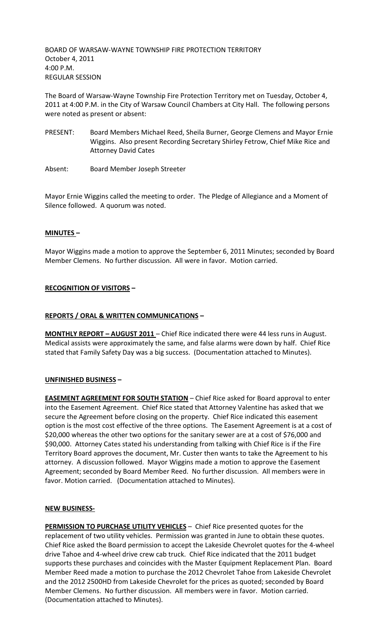BOARD OF WARSAW-WAYNE TOWNSHIP FIRE PROTECTION TERRITORY October 4, 2011 4:00 P.M. REGULAR SESSION

The Board of Warsaw-Wayne Township Fire Protection Territory met on Tuesday, October 4, 2011 at 4:00 P.M. in the City of Warsaw Council Chambers at City Hall. The following persons were noted as present or absent:

- PRESENT: Board Members Michael Reed, Sheila Burner, George Clemens and Mayor Ernie Wiggins. Also present Recording Secretary Shirley Fetrow, Chief Mike Rice and Attorney David Cates
- Absent: Board Member Joseph Streeter

Mayor Ernie Wiggins called the meeting to order. The Pledge of Allegiance and a Moment of Silence followed. A quorum was noted.

# **MINUTES –**

Mayor Wiggins made a motion to approve the September 6, 2011 Minutes; seconded by Board Member Clemens. No further discussion. All were in favor. Motion carried.

# **RECOGNITION OF VISITORS –**

## **REPORTS / ORAL & WRITTEN COMMUNICATIONS –**

**MONTHLY REPORT – AUGUST 2011** – Chief Rice indicated there were 44 less runs in August. Medical assists were approximately the same, and false alarms were down by half. Chief Rice stated that Family Safety Day was a big success. (Documentation attached to Minutes).

## **UNFINISHED BUSINESS –**

**EASEMENT AGREEMENT FOR SOUTH STATION** – Chief Rice asked for Board approval to enter into the Easement Agreement. Chief Rice stated that Attorney Valentine has asked that we secure the Agreement before closing on the property. Chief Rice indicated this easement option is the most cost effective of the three options. The Easement Agreement is at a cost of \$20,000 whereas the other two options for the sanitary sewer are at a cost of \$76,000 and \$90,000. Attorney Cates stated his understanding from talking with Chief Rice is if the Fire Territory Board approves the document, Mr. Custer then wants to take the Agreement to his attorney. A discussion followed. Mayor Wiggins made a motion to approve the Easement Agreement; seconded by Board Member Reed. No further discussion. All members were in favor. Motion carried. (Documentation attached to Minutes).

## **NEW BUSINESS-**

**PERMISSION TO PURCHASE UTILITY VEHICLES** - Chief Rice presented quotes for the replacement of two utility vehicles. Permission was granted in June to obtain these quotes. Chief Rice asked the Board permission to accept the Lakeside Chevrolet quotes for the 4-wheel drive Tahoe and 4-wheel drive crew cab truck. Chief Rice indicated that the 2011 budget supports these purchases and coincides with the Master Equipment Replacement Plan. Board Member Reed made a motion to purchase the 2012 Chevrolet Tahoe from Lakeside Chevrolet and the 2012 2500HD from Lakeside Chevrolet for the prices as quoted; seconded by Board Member Clemens. No further discussion. All members were in favor. Motion carried. (Documentation attached to Minutes).